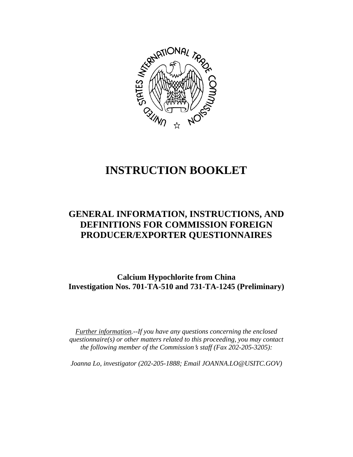

# **INSTRUCTION BOOKLET**

# **GENERAL INFORMATION, INSTRUCTIONS, AND DEFINITIONS FOR COMMISSION FOREIGN PRODUCER/EXPORTER QUESTIONNAIRES**

**Calcium Hypochlorite from China Investigation Nos. 701-TA-510 and 731-TA-1245 (Preliminary)**

*Further information.--If you have any questions concerning the enclosed questionnaire(s) or other matters related to this proceeding, you may contact the following member of the Commission*=*s staff (Fax 202-205-3205):* 

*Joanna Lo, investigator (202-205-1888; Email JOANNA.LO@USITC.GOV)*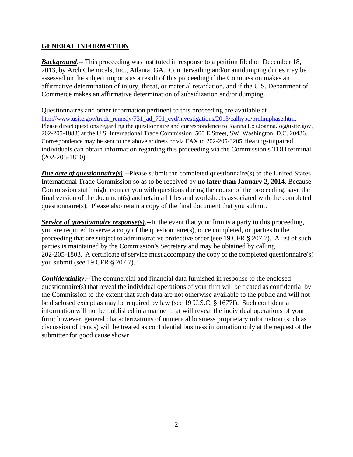#### **GENERAL INFORMATION**

*Background*.-- This proceeding was instituted in response to a petition filed on December 18, 2013, by Arch Chemicals, Inc., Atlanta, GA. Countervailing and/or antidumping duties may be assessed on the subject imports as a result of this proceeding if the Commission makes an affirmative determination of injury, threat, or material retardation, and if the U.S. Department of Commerce makes an affirmative determination of subsidization and/or dumping.

Questionnaires and other information pertinent to this proceeding are available at http://www.usitc.gov/trade\_remedy/731\_ad\_701\_cvd/investigations/2013/calhypo/prelimphase.htm. Please direct questions regarding the questionnaire and correspondence to Joanna Lo (Joanna.lo@usitc.gov, 202-205-1888) at the U.S. International Trade Commission, 500 E Street, SW, Washington, D.C. 20436. Correspondence may be sent to the above address or via FAX to 202-205-3205.Hearing-impaired individuals can obtain information regarding this proceeding via the Commission's TDD terminal (202-205-1810).

*Due date of questionnaire(s)*.--Please submit the completed questionnaire(s) to the United States International Trade Commission so as to be received by **no later than January 2, 2014**. Because Commission staff might contact you with questions during the course of the proceeding, save the final version of the document(s) and retain all files and worksheets associated with the completed questionnaire(s). Please also retain a copy of the final document that you submit.

*Service of questionnaire response(s)*.--In the event that your firm is a party to this proceeding, you are required to serve a copy of the questionnaire(s), once completed, on parties to the proceeding that are subject to administrative protective order (see 19 CFR  $\S 207.7$ ). A list of such parties is maintained by the Commission's Secretary and may be obtained by calling 202-205-1803. A certificate of service must accompany the copy of the completed questionnaire(s) you submit (see 19 CFR § 207.7).

*Confidentiality*.--The commercial and financial data furnished in response to the enclosed questionnaire(s) that reveal the individual operations of your firm will be treated as confidential by the Commission to the extent that such data are not otherwise available to the public and will not be disclosed except as may be required by law (see 19 U.S.C.  $\S$  1677f). Such confidential information will not be published in a manner that will reveal the individual operations of your firm; however, general characterizations of numerical business proprietary information (such as discussion of trends) will be treated as confidential business information only at the request of the submitter for good cause shown.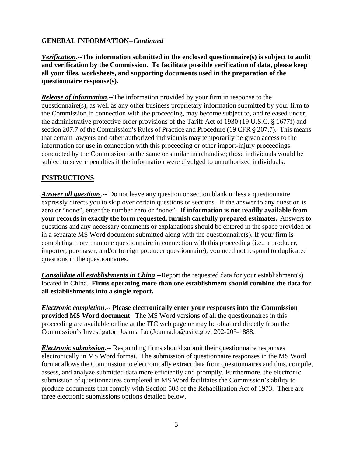# **GENERAL INFORMATION--***Continued*

*Verification***.--The information submitted in the enclosed questionnaire(s) is subject to audit and verification by the Commission. To facilitate possible verification of data, please keep all your files, worksheets, and supporting documents used in the preparation of the questionnaire response(s).**

*Release of information*.--The information provided by your firm in response to the questionnaire(s), as well as any other business proprietary information submitted by your firm to the Commission in connection with the proceeding, may become subject to, and released under, the administrative protective order provisions of the Tariff Act of 1930 (19 U.S.C.  $\S$  1677f) and section 207.7 of the Commission's Rules of Practice and Procedure (19 CFR  $\S$  207.7). This means that certain lawyers and other authorized individuals may temporarily be given access to the information for use in connection with this proceeding or other import-injury proceedings conducted by the Commission on the same or similar merchandise; those individuals would be subject to severe penalties if the information were divulged to unauthorized individuals.

### **INSTRUCTIONS**

*Answer all questions*.-- Do not leave any question or section blank unless a questionnaire expressly directs you to skip over certain questions or sections. If the answer to any question is zero or "none", enter the number zero or "none". **If information is not readily available from your records in exactly the form requested, furnish carefully prepared estimates.** Answers to questions and any necessary comments or explanations should be entered in the space provided or in a separate MS Word document submitted along with the questionnaire(s). If your firm is completing more than one questionnaire in connection with this proceeding (i.e., a producer, importer, purchaser, and/or foreign producer questionnaire), you need not respond to duplicated questions in the questionnaires.

*Consolidate all establishments in China*.--Report the requested data for your establishment(s) located in China. **Firms operating more than one establishment should combine the data for all establishments into a single report.** 

*Electronic completion***.-- Please electronically enter your responses into the Commission provided MS Word document**. The MS Word versions of all the questionnaires in this proceeding are available online at the ITC web page or may be obtained directly from the Commission's Investigator, Joanna Lo (Joanna.lo@usitc.gov, 202-205-1888.

*Electronic submission***.--** Responding firms should submit their questionnaire responses electronically in MS Word format. The submission of questionnaire responses in the MS Word format allows the Commission to electronically extract data from questionnaires and thus, compile, assess, and analyze submitted data more efficiently and promptly. Furthermore, the electronic submission of questionnaires completed in MS Word facilitates the Commission's ability to produce documents that comply with Section 508 of the Rehabilitation Act of 1973. There are three electronic submissions options detailed below.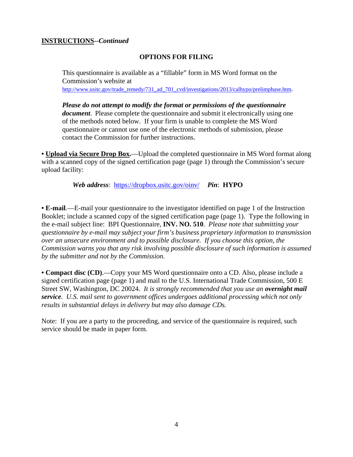#### **INSTRUCTIONS--***Continued*

#### **OPTIONS FOR FILING**

This questionnaire is available as a "fillable" form in MS Word format on the Commission's website at http://www.usitc.gov/trade\_remedy/731\_ad\_701\_cvd/investigations/2013/calhypo/prelimphase.htm.

*Please do not attempt to modify the format or permissions of the questionnaire document*. Please complete the questionnaire and submit it electronically using one of the methods noted below. If your firm is unable to complete the MS Word questionnaire or cannot use one of the electronic methods of submission, please contact the Commission for further instructions.

**• Upload via Secure Drop Box.**—Upload the completed questionnaire in MS Word format along with a scanned copy of the signed certification page (page 1) through the Commission's secure upload facility:

*Web address*: https://dropbox.usitc.gov/oinv/ *Pin*: **HYPO**

**• E-mail**.—E-mail your questionnaire to the investigator identified on page 1 of the Instruction Booklet; include a scanned copy of the signed certification page (page 1). Type the following in the e-mail subject line: BPI Questionnaire, **INV. NO. 510**. *Please note that submitting your questionnaire by e-mail may subject your firm's business proprietary information to transmission over an unsecure environment and to possible disclosure. If you choose this option, the Commission warns you that any risk involving possible disclosure of such information is assumed by the submitter and not by the Commission.* 

**• Compact disc (CD)**.—Copy your MS Word questionnaire onto a CD. Also, please include a signed certification page (page 1) and mail to the U.S. International Trade Commission, 500 E Street SW, Washington, DC 20024. *It is strongly recommended that you use an overnight mail service. U.S. mail sent to government offices undergoes additional processing which not only results in substantial delays in delivery but may also damage CDs.* 

Note: If you are a party to the proceeding, and service of the questionnaire is required, such service should be made in paper form.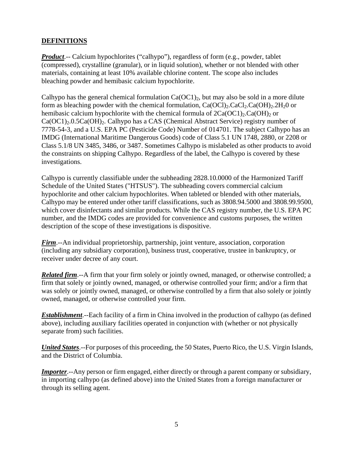# **DEFINITIONS**

*Product*.-- Calcium hypochlorites ("calhypo"), regardless of form (e.g., powder, tablet (compressed), crystalline (granular), or in liquid solution), whether or not blended with other materials, containing at least 10% available chlorine content. The scope also includes bleaching powder and hemibasic calcium hypochlorite.

Calhypo has the general chemical formulation  $Ca(OCl)_{2}$ , but may also be sold in a more dilute form as bleaching powder with the chemical formulation,  $Ca(OCl)_2$ . $CaCl_2$ . $Ca(OH)_2$ . $2H_2O$  or hemibasic calcium hypochlorite with the chemical formula of  $2Ca(OCl)_2$ . Ca(OH)<sub>2</sub> or  $Ca(OC1)_{2}.0.5Ca(OH)_{2}$ . Calhypo has a CAS (Chemical Abstract Service) registry number of 7778-54-3, and a U.S. EPA PC (Pesticide Code) Number of 014701. The subject Calhypo has an IMDG (International Maritime Dangerous Goods) code of Class 5.1 UN 1748, 2880, or 2208 or Class 5.1/8 UN 3485, 3486, or 3487. Sometimes Calhypo is mislabeled as other products to avoid the constraints on shipping Calhypo. Regardless of the label, the Calhypo is covered by these investigations.

Calhypo is currently classifiable under the subheading 2828.10.0000 of the Harmonized Tariff Schedule of the United States ("HTSUS"). The subheading covers commercial calcium hypochlorite and other calcium hypochlorites. When tableted or blended with other materials, Calhypo may be entered under other tariff classifications, such as 3808.94.5000 and 3808.99.9500, which cover disinfectants and similar products. While the CAS registry number, the U.S. EPA PC number, and the IMDG codes are provided for convenience and customs purposes, the written description of the scope of these investigations is dispositive.

*Firm*.--An individual proprietorship, partnership, joint venture, association, corporation (including any subsidiary corporation), business trust, cooperative, trustee in bankruptcy, or receiver under decree of any court.

*Related firm*.--A firm that your firm solely or jointly owned, managed, or otherwise controlled; a firm that solely or jointly owned, managed, or otherwise controlled your firm; and/or a firm that was solely or jointly owned, managed, or otherwise controlled by a firm that also solely or jointly owned, managed, or otherwise controlled your firm.

*Establishment*.--Each facility of a firm in China involved in the production of calhypo (as defined above), including auxiliary facilities operated in conjunction with (whether or not physically separate from) such facilities.

*United States*.--For purposes of this proceeding, the 50 States, Puerto Rico, the U.S. Virgin Islands, and the District of Columbia.

*Importer.*--Any person or firm engaged, either directly or through a parent company or subsidiary, in importing calhypo (as defined above) into the United States from a foreign manufacturer or through its selling agent.